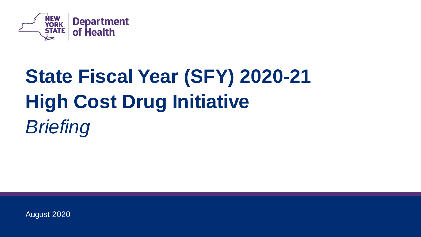

# **State Fiscal Year (SFY) 2020-21 High Cost Drug Initiative**  *Briefing*

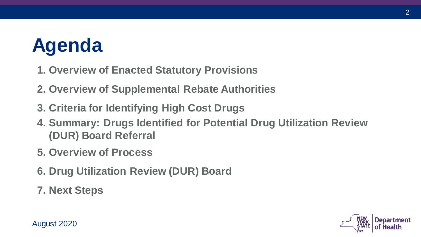## **Agenda**

- **1. Overview of Enacted Statutory Provisions**
- **2. Overview of Supplemental Rebate Authorities**
- **3. Criteria for Identifying High Cost Drugs**
- **(DUR) Board Referral 4. Summary: Drugs Identified for Potential Drug Utilization Review**
- **5. Overview of Process**
- **6. Drug Utilization Review (DUR) Board**
- **7. Next Steps**

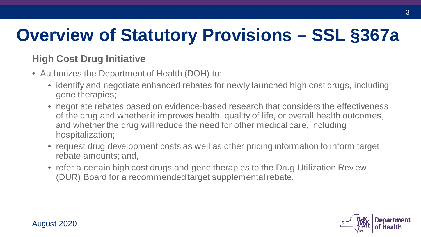## **Overview of Statutory Provisions – SSL §367a**

### **High Cost Drug Initiative**

- • Authorizes the Department of Health (DOH) to:
	- • identify and negotiate enhanced rebates for newly launched high cost drugs, including gene therapies;
	- of the drug and whether it improves health, quality of life, or overall health outcomes, and whether the drug will reduce the need for other medical care, including • negotiate rebates based on evidence-based research that considers the effectiveness hospitalization;
	- request drug development costs as well as other pricing information to inform target rebate amounts; and,
	- (DUR) Board for a recommended target supplemental rebate. • refer a certain high cost drugs and gene therapies to the Drug Utilization Review

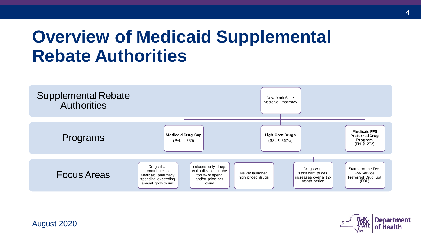### **Overview of Medicaid Supplemental Rebate Authorities**



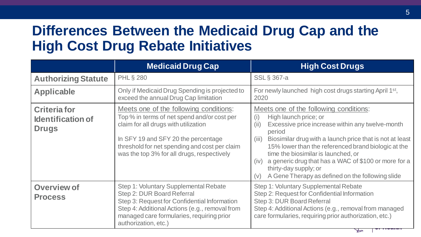### **Differences Between the Medicaid Drug Cap and the High Cost Drug Rebate Initiatives**

|                                                                 | <b>Medicaid Drug Cap</b>                                                                                                                                                                                                                                            | <b>High Cost Drugs</b>                                                                                                                                                                                                                                                                                                                                                                                                                                              |
|-----------------------------------------------------------------|---------------------------------------------------------------------------------------------------------------------------------------------------------------------------------------------------------------------------------------------------------------------|---------------------------------------------------------------------------------------------------------------------------------------------------------------------------------------------------------------------------------------------------------------------------------------------------------------------------------------------------------------------------------------------------------------------------------------------------------------------|
| <b>Authorizing Statute</b>                                      | <b>PHL § 280</b>                                                                                                                                                                                                                                                    | <b>SSL</b> § 367-a                                                                                                                                                                                                                                                                                                                                                                                                                                                  |
| <b>Applicable</b>                                               | Only if Medicaid Drug Spending is projected to<br>exceed the annual Drug Cap limitation                                                                                                                                                                             | For newly launched high cost drugs starting April 1 <sup>st</sup> ,<br>2020                                                                                                                                                                                                                                                                                                                                                                                         |
| <b>Criteria for</b><br><b>Identification of</b><br><b>Drugs</b> | Meets one of the following conditions:<br>Top % in terms of net spend and/or cost per<br>claim for all drugs with utilization<br>In SFY 19 and SFY 20 the percentage<br>threshold for net spending and cost per claim<br>was the top 3% for all drugs, respectively | Meets one of the following conditions:<br>High launch price; or<br>(i)<br>Excessive price increase within any twelve-month<br>(ii)<br>period<br>Biosimilar drug with a launch price that is not at least<br>(iii)<br>15% lower than the referenced brand biologic at the<br>time the biosimilar is launched, or<br>a generic drug that has a WAC of \$100 or more for a<br>(iv)<br>thirty-day supply; or<br>A Gene Therapy as defined on the following slide<br>(v) |
| <b>Overview of</b><br><b>Process</b>                            | Step 1: Voluntary Supplemental Rebate<br>Step 2: DUR Board Referral<br>Step 3: Request for Confidential Information<br>Step 4: Additional Actions (e.g., removal from<br>managed care formularies, requiring prior<br>authorization, etc.)                          | Step 1: Voluntary Supplemental Rebate<br>Step 2: Request for Confidential Information<br>Step 3: DUR Board Referral<br>Step 4: Additional Actions (e.g., removal from managed<br>care formularies, requiring prior authorization, etc.)                                                                                                                                                                                                                             |

 $\succ$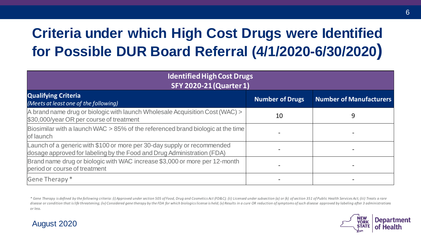### **Criteria under which High Cost Drugs were Identified for Possible DUR Board Referral (4/1/2020-6/30/2020)**

| <b>Identified High Cost Drugs</b><br><b>SFY 2020-21 (Quarter 1)</b>                                                                               |                        |                                |  |  |
|---------------------------------------------------------------------------------------------------------------------------------------------------|------------------------|--------------------------------|--|--|
| <b>Qualifying Criteria</b><br>(Meets at least one of the following)                                                                               | <b>Number of Drugs</b> | <b>Number of Manufacturers</b> |  |  |
| A brand name drug or biologic with launch Wholesale Acquisition Cost (WAC) ><br>\$30,000/year OR per course of treatment                          | 10                     | 9                              |  |  |
| Biosimilar with a launch WAC > 85% of the referenced brand biologic at the time<br>of launch                                                      |                        |                                |  |  |
| Launch of a generic with \$100 or more per 30-day supply or recommended<br>dosage approved for labeling by the Food and Drug Administration (FDA) |                        |                                |  |  |
| Brand name drug or biologic with WAC increase \$3,000 or more per 12-month<br>period or course of treatment                                       |                        |                                |  |  |
| Gene Therapy *                                                                                                                                    |                        |                                |  |  |

\* Gene Therapy is defined by the following criteria: (i) Approved under section 505 of Food, Drug and Cosmetics Act (FD&C); (ii) Licensed under subsection (a) or (k) of section 351 of Public Health Services Act; (iii) Trea disease or condition that is life threatening; (iv) Considered gene therapy by the FDA for which biologics license is held; (v) Results in a cure OR reduction of symptoms of such disease approved by labeling after 3 admini *or less.* 

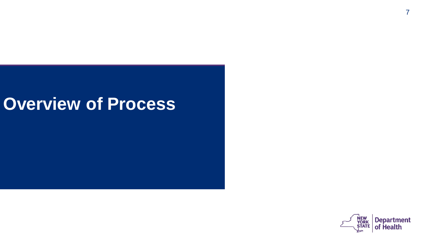### **Overview of Process**

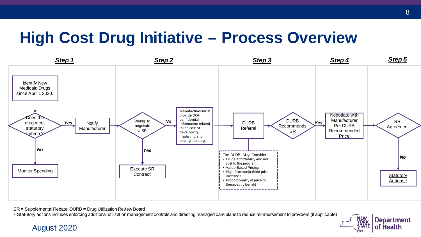### **High Cost Drug Initiative – Process Overview**



SR = Supplemental Rebate; DURB = Drug Utilization Review Board

<sup>1:</sup> Statutory actions includes enforcing additional utilization management controls and directing managed care plans to reduce reimbursement to providers (if applicable)

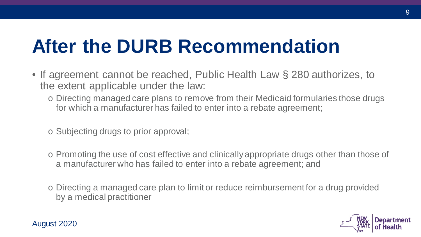## **After the DURB Recommendation**

- • If agreement cannot be reached, Public Health Law § 280 authorizes, to the extent applicable under the law:
	- o Directing managed care plans to remove from their Medicaid formularies those drugs for which a manufacturer has failed to enter into a rebate agreement;
	- o Subjecting drugs to prior approval;
	- o Promoting the use of cost effective and clinically appropriate drugs other than those of a manufacturer who has failed to enter into a rebate agreement; and
	- o Directing a managed care plan to limit or reduce reimbursement for a drug provided by a medical practitioner



9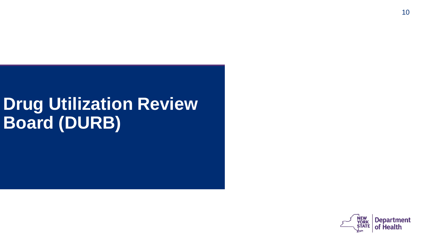## **Drug Utilization Review Board (DURB)**

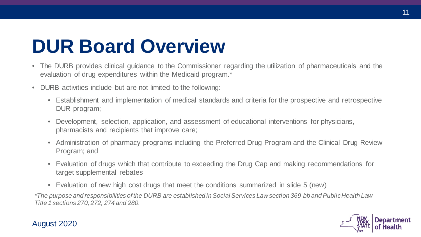## **DUR Board Overview**

- • The DURB provides clinical guidance to the Commissioner regarding the utilization of pharmaceuticals and the evaluation of drug expenditures within the Medicaid program.\*
- • DURB activities include but are not limited to the following:
	- • Establishment and implementation of medical standards and criteria for the prospective and retrospective DUR program;
	- • Development, selection, application, and assessment of educational interventions for physicians, pharmacists and recipients that improve care;
	- • Administration of pharmacy programs including the Preferred Drug Program and the Clinical Drug Review Program; and
	- • Evaluation of drugs which that contribute to exceeding the Drug Cap and making recommendations for target supplemental rebates
	- Evaluation of new high cost drugs that meet the conditions summarized in slide 5 (new)

 *\*The purpose and responsibilities of the DURB are established in Social Services Law section 369-bb and Public Health Law Title 1 sections 270, 272, 274 and 280.* 

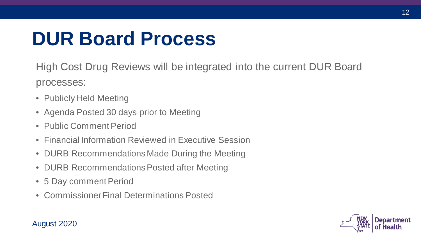## **DUR Board Process**

High Cost Drug Reviews will be integrated into the current DUR Board processes:

- Publicly Held Meeting
- Agenda Posted 30 days prior to Meeting
- Public Comment Period
- Financial Information Reviewed in Executive Session
- DURB Recommendations Made During the Meeting
- DURB Recommendations Posted after Meeting
- 5 Day comment Period
- Commissioner Final Determinations Posted

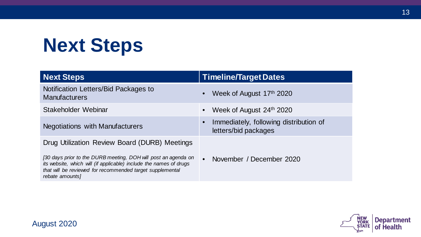## **Next Steps**

| <b>Next Steps</b>                                                                                                                                                                                                                                                     | <b>Timeline/Target Dates</b>                                                |
|-----------------------------------------------------------------------------------------------------------------------------------------------------------------------------------------------------------------------------------------------------------------------|-----------------------------------------------------------------------------|
| Notification Letters/Bid Packages to<br><b>Manufacturers</b>                                                                                                                                                                                                          | Week of August 17th 2020<br>$\bullet$                                       |
| Stakeholder Webinar                                                                                                                                                                                                                                                   | Week of August 24th 2020<br>$\bullet$                                       |
| <b>Negotiations with Manufacturers</b>                                                                                                                                                                                                                                | Immediately, following distribution of<br>$\bullet$<br>letters/bid packages |
| Drug Utilization Review Board (DURB) Meetings<br>[30 days prior to the DURB meeting, DOH will post an agenda on<br>its website, which will (if applicable) include the names of drugs<br>that will be reviewed for recommended target supplemental<br>rebate amounts] | $\bullet$<br>November / December 2020                                       |